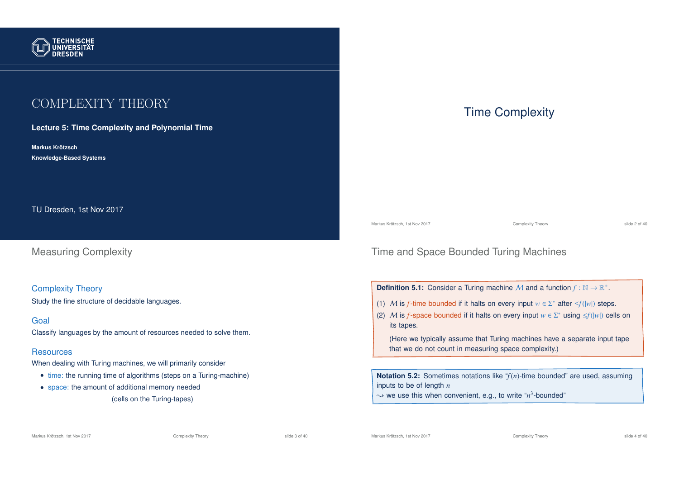

## COMPLEXITY THEORY

**Lecture 5: Time Complexity and Polynomial Time**

**Markus Krotzsch ¨ Knowledge-Based Systems**

TU Dresden, 1st Nov 2017

Measuring Complexity

Complexity Theory Study the fine structure of decidable languages.

#### Goal

Classify languages by the amount of resources needed to solve them.

#### **Resources**

When dealing with Turing machines, we will primarily consider

- time: the running time of algorithms (steps on a Turing-machine)
- space: the amount of additional memory needed
	- (cells on the Turing-tapes)

### Time Complexity

Markus Krötzsch, 1st Nov 2017 **Complexity Theory** Complexity Theory slide 2 of 40

### Time and Space Bounded Turing Machines

**Definition 5.1:** Consider a Turing machine M and a function  $f : \mathbb{N} \to \mathbb{R}^+$ .

- (1) M is *f*-time bounded if it halts on every input  $w \in \Sigma^*$  after  $\leq f(|w|)$  steps.
- (2) M is *f*-space bounded if it halts on every input  $w \in \Sigma^*$  using  $\leq f(|w|)$  cells on its tapes.

(Here we typically assume that Turing machines have a separate input tape that we do not count in measuring space complexity.)

**Notation 5.2:** Sometimes notations like "*f*(*n*)-time bounded" are used, assuming inputs to be of length *n*

 $\rightsquigarrow$  we use this when convenient, e.g., to write " $n^3$ -bounded"

Markus Krötzsch, 1st Nov 2017 **Complexity Theory** Complexity Theory slide 3 of 40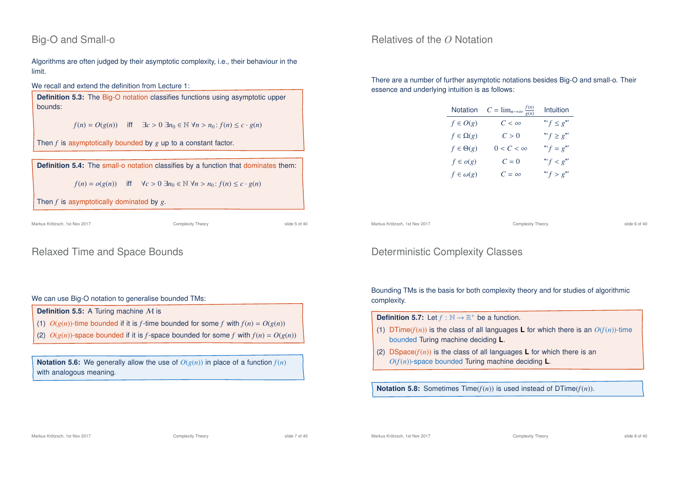### Big-O and Small-o

Algorithms are often judged by their asymptotic complexity, i.e., their behaviour in the limit.

#### We recall and extend the definition from Lecture 1:

**Definition 5.3:** The Big-O notation classifies functions using asymptotic upper bounds:

*f*(*n*) = *O*(*g*(*n*)) iff  $\exists c > 0 \ \exists n_0 \in \mathbb{N} \ \forall n > n_0 : f(n) \le c \cdot g(n)$ 

Then *f* is asymptotically bounded by *g* up to a constant factor.

 $f(n) = o(g(n))$  iff  $\forall c > 0 \exists n_0 \in \mathbb{N} \forall n > n_0 : f(n) \leq c \cdot g(n)$ 

Then *f* is asymptotically dominated by *g*.

Markus Krötzsch, 1st Nov 2017 Complexity Theory slide 5 of 40

### Relaxed Time and Space Bounds

#### We can use Big-O notation to generalise bounded TMs:

- **Definition 5.5:** A Turing machine M is
- (1)  $O(g(n))$ -time bounded if it is *f*-time bounded for some *f* with  $f(n) = O(g(n))$
- (2)  $O(g(n))$ -space bounded if it is *f*-space bounded for some *f* with  $f(n) = O(g(n))$

**Notation 5.6:** We generally allow the use of  $O(g(n))$  in place of a function  $f(n)$ with analogous meaning.

### Relatives of the *O* Notation

There are a number of further asymptotic notations besides Big-O and small-o. Their essence and underlying intuition is as follows:

| Notation          | $C = \lim_{n \to \infty} \frac{f(n)}{g(n)}$ | Intuition               |
|-------------------|---------------------------------------------|-------------------------|
| $f\in O(g)$       | $C < \infty$                                | "' $f \leq g$ "'        |
| $f \in \Omega(g)$ | C > 0                                       | "' $f \ge g$ "'         |
| $f \in \Theta(g)$ | $0 < C < \infty$                            | "' $f = g^{\mathbf{m}}$ |
| $f \in o(g)$      | ${\cal C}=0$                                | " $f < g$ "             |
| $f \in \omega(g)$ | $C = \infty$                                | "' $f > g$ "'           |

Markus Krötzsch, 1st Nov 2017 **Complexity Theory** Complexity Theory slide 6 of 40

### Deterministic Complexity Classes

Bounding TMs is the basis for both complexity theory and for studies of algorithmic complexity.

- **Definition 5.7:** Let  $f : \mathbb{N} \to \mathbb{R}^+$  be a function.
- (1) DTime( $f(n)$ ) is the class of all languages **L** for which there is an  $O(f(n))$ -time bounded Turing machine deciding **L**.
- (2) DSpace( $f(n)$ ) is the class of all languages **L** for which there is an *O*(*f*(*n*))-space bounded Turing machine deciding **L**.

**Notation 5.8:** Sometimes Time( $f(n)$ ) is used instead of DTime( $f(n)$ ).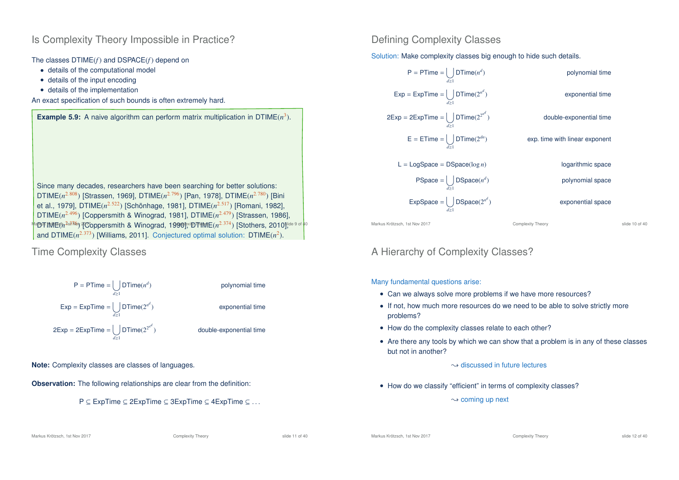### Is Complexity Theory Impossible in Practice?

The classes DTIME(*f*) and DSPACE(*f*) depend on

- details of the computational model
- details of the input encoding
- details of the implementation

An exact specification of such bounds is often extremely hard.



### Time Complexity Classes



#### **Note:** Complexity classes are classes of languages.

**Observation:** The following relationships are clear from the definition:



### Defining Complexity Classes

Solution: Make complexity classes big enough to hide such details.



### A Hierarchy of Complexity Classes?

#### Many fundamental questions arise:

- Can we always solve more problems if we have more resources?
- If not, how much more resources do we need to be able to solve strictly more problems?
- How do the complexity classes relate to each other?
- Are there any tools by which we can show that a problem is in any of these classes but not in another?
	- $\rightarrow$  discussed in future lectures
- How do we classify "efficient" in terms of complexity classes?

 $\sim$  coming up next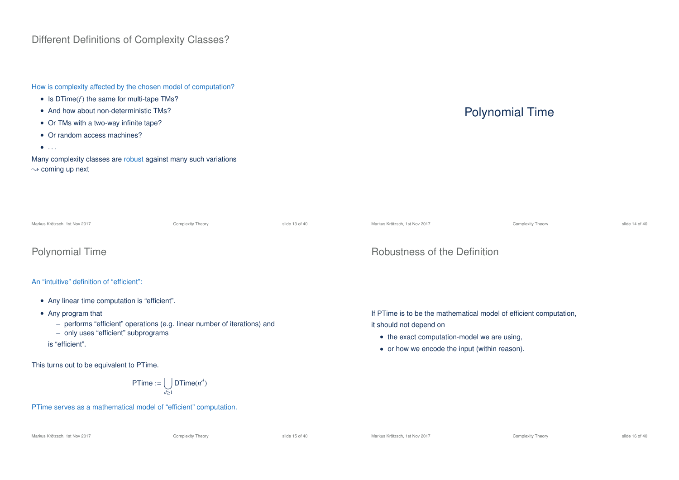### Different Definitions of Complexity Classes?

How is complexity affected by the chosen model of computation?

- Is DTime(*f*) the same for multi-tape TMs?
- And how about non-deterministic TMs?
- Or TMs with a two-way infinite tape?
- Or random access machines?
- $\bullet$  . . .

Many complexity classes are robust against many such variations  $\sim$  coming up next

# Polynomial Time

| Markus Krötzsch, 1st Nov 2017 | Complexity Theory | slide 14 of 40 |
|-------------------------------|-------------------|----------------|

### Polynomial Time

#### An "intuitive" definition of "efficient":

- Any linear time computation is "efficient".
- Any program that
	- performs "efficient" operations (e.g. linear number of iterations) and

Markus Krötzsch, 1st Nov 2017 Complexity Theory slide 13 of 40

- only uses "efficient" subprograms
- is "efficient".

This turns out to be equivalent to PTime.

$$
\mathsf{PTime} := \bigcup_{d \geq 1} \mathsf{DTime}(n^d)
$$

PTime serves as a mathematical model of "efficient" computation.

### Robustness of the Definition

If PTime is to be the mathematical model of efficient computation, it should not depend on

- the exact computation-model we are using,
- or how we encode the input (within reason).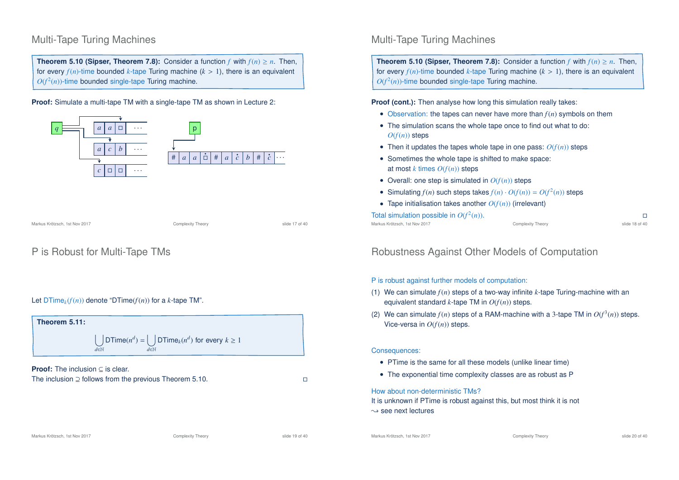### Multi-Tape Turing Machines

**Theorem 5.10 (Sipser, Theorem 7.8):** Consider a function *f* with  $f(n) \ge n$ . Then, for every  $f(n)$ -time bounded *k*-tape Turing machine  $(k > 1)$ , there is an equivalent  $O(f^2(n))$ -time bounded single-tape Turing machine.

**Proof:** Simulate a multi-tape TM with a single-tape TM as shown in Lecture 2:



Markus Krötzsch, 1st Nov 2017 Complexity Theory slide 17 of 40

### P is Robust for Multi-Tape TMs

#### Let  $DTime<sub>k</sub>(f(n))$  denote "DTime( $f(n)$ ) for a *k*-tape TM".



**Proof:** The inclusion ⊂ is clear. The inclusion ⊇ follows from the previous Theorem 5.10.

### Multi-Tape Turing Machines

**Theorem 5.10 (Sipser, Theorem 7.8):** Consider a function *f* with  $f(n) \ge n$ . Then, for every  $f(n)$ -time bounded *k*-tape Turing machine ( $k > 1$ ), there is an equivalent  $O(f^2(n))$ -time bounded single-tape Turing machine.

**Proof (cont.):** Then analyse how long this simulation really takes:

- Observation: the tapes can never have more than *f*(*n*) symbols on them
- The simulation scans the whole tape once to find out what to do:  $O(f(n))$  steps
- Then it updates the tapes whole tape in one pass:  $O(f(n))$  steps
- Sometimes the whole tape is shifted to make space: at most  $k$  times  $O(f(n))$  steps
- Overall: one step is simulated in  $O(f(n))$  steps
- Simulating  $f(n)$  such steps takes  $f(n) \cdot O(f(n)) = O(f^2(n))$  steps
- Tape initialisation takes another  $O(f(n))$  (irrelevant)

Total simulation possible in  $O(f^2)$ 

Markus Krötzsch, 1st Nov 2017 **Complexity Theory** Complexity Theory slide 18 of 40

(*n*)).

### Robustness Against Other Models of Computation

#### P is robust against further models of computation:

- (1) We can simulate *f*(*n*) steps of a two-way infinite *k*-tape Turing-machine with an equivalent standard *k*-tape TM in *O*(*f*(*n*)) steps.
- (2) We can simulate  $f(n)$  steps of a RAM-machine with a 3-tape TM in  $O(f^3(n))$  steps. Vice-versa in  $O(f(n))$  steps.

#### Consequences:

- PTime is the same for all these models (unlike linear time)
- The exponential time complexity classes are as robust as P

#### How about non-deterministic TMs?

It is unknown if PTime is robust against this, but most think it is not  $\rightarrow$  see next lectures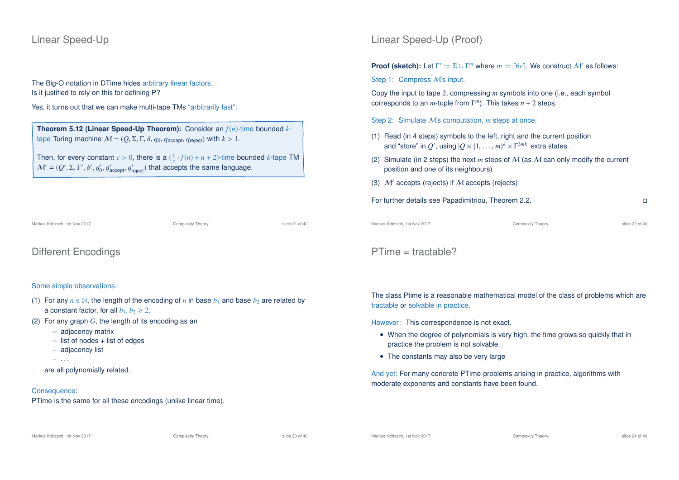### Linear Speed-Up

The Big-O notation in DTime hides arbitrary linear factors. Is it justified to rely on this for defining P?

Yes, it turns out that we can make multi-tape TMs "arbitrarily fast":

**Theorem 5.12 (Linear Speed-Up Theorem):** Consider an *f*(*n*)-time bounded *k*tape Turing machine  $M = (Q, \Sigma, \Gamma, \delta, q_0, q_{\text{accept}}, q_{\text{reject}})$  with  $k > 1$ .

Then, for every constant  $c > 0$ , there is a  $(\frac{1}{c} \cdot f(n) + n + 2)$ -time bounded *k*-tape TM  $\mathcal{M}' = (Q', \Sigma, \Gamma', \delta', q_0', q_{\mathsf{accept}}', q_{\mathsf{reject}}')$  that accepts the same language.

Markus Krötzsch, 1st Nov 2017 Complexity Theory slide 21 of 40

Different Encodings

#### Some simple observations:

- (1) For any  $n \in \mathbb{N}$ , the length of the encoding of *n* in base  $b_1$  and base  $b_2$  are related by a constant factor, for all  $b_1, b_2 > 2$ .
- (2) For any graph *G*, the length of its encoding as an
	- adjacency matrix
	- list of nodes + list of edges
	- adjacency list
	- $-$  . . .

are all polynomially related.

#### Consequence:

PTime is the same for all these encodings (unlike linear time).

### Linear Speed-Up (Proof)

**Proof (sketch):** Let  $\Gamma' := \Sigma \cup \Gamma^m$  where  $m := \lceil 6c \rceil$ . We construct  $\mathcal{M}'$  as follows:

#### Step 1: Compress M's input.

Copy the input to tape 2, compressing *m* symbols into one (i.e., each symbol corresponds to an *m*-tuple from Γ *<sup>m</sup>*). This takes *n* + 2 steps.

#### Step 2: Simulate M's computation, *m* steps at once.

- (1) Read (in 4 steps) symbols to the left, right and the current position and "store" in  $Q'$ , using  $|Q \times \{1, ..., m\}^k \times \Gamma^{3mk}|$  extra states.
- (2) Simulate (in 2 steps) the next *m* steps of M (as M can only modify the current position and one of its neighbours)
- (3)  $M'$  accepts (rejects) if M accepts (rejects)
- For further details see Papadimitriou, Theorem 2.2.

Markus Krötzsch, 1st Nov 2017 **Complexity Theory** Complexity Theory slide 22 of 40

### PTime = tractable?

The class Ptime is a reasonable mathematical model of the class of problems which are tractable or solvable in practice.

However: This correspondence is not exact.

- When the degree of polynomials is very high, the time grows so quickly that in practice the problem is not solvable.
- The constants may also be very large

And yet: For many concrete PTime-problems arising in practice, algorithms with moderate exponents and constants have been found.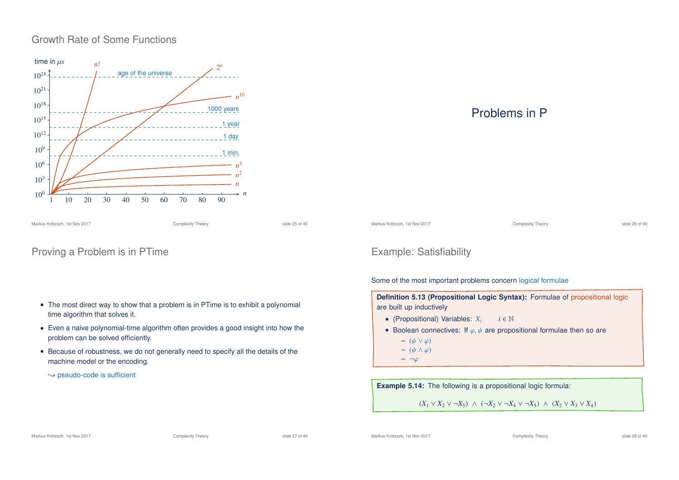### Growth Rate of Some Functions



### Proving a Problem is in PTime

#### • The most direct way to show that a problem is in PTime is to exhibit a polynomial time algorithm that solves it.

- Even a naive polynomial-time algorithm often provides a good insight into how the problem can be solved efficiently.
- Because of robustness, we do not generally need to specify all the details of the machine model or the encoding.
	- $\rightarrow$  pseudo-code is sufficient

### Problems in P

Markus Krötzsch, 1st Nov 2017 Complexity Theory slide 26 of 40

### Example: Satisfiability

Some of the most important problems concern logical formulae

**Definition 5.13 (Propositional Logic Syntax):** Formulae of propositional logic are built up inductively

- (Propositional) Variables: *X<sup>i</sup> i* ∈ N
- Boolean connectives: If  $\varphi, \psi$  are propositional formulae then so are
	- $(\psi \vee \varphi)$
	- $(\psi \wedge \varphi)$
	- $\neg \varphi$

**Example 5.14:** The following is a propositional logic formula:

(*X*<sup>1</sup> ∨ *X*<sup>2</sup> ∨ ¬*X*5) ∧ (¬*X*<sup>2</sup> ∨ ¬*X*<sup>4</sup> ∨ ¬*X*5) ∧ (*X*<sup>2</sup> ∨ *X*<sup>3</sup> ∨ *X*4)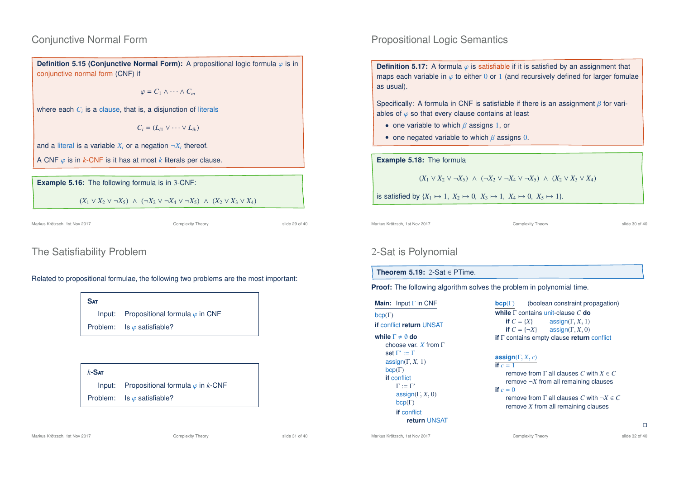### Conjunctive Normal Form

**Definition 5.15 (Conjunctive Normal Form):** A propositional logic formula  $\varphi$  is in conjunctive normal form (CNF) if

 $\varphi = C_1 \wedge \cdots \wedge C_m$ 

where each  $C_i$  is a clause, that is, a disjunction of literals

 $C_i = (L_i \vee \cdots \vee L_i)$ 

and a literal is a variable  $X_i$  or a negation  $\neg X_i$  thereof.

A CNF ϕ is in *k*-CNF is it has at most *k* literals per clause.

**Example 5.16:** The following formula is in 3-CNF:

 $(X_1 \vee X_2 \vee \neg X_5)$  ∧  $(\neg X_2 \vee \neg X_4 \vee \neg X_5)$  ∧  $(X_2 \vee X_3 \vee X_4)$ 

Markus Krötzsch, 1st Nov 2017 Complexity Theory slide 29 of 40

### The Satisfiability Problem

Related to propositional formulae, the following two problems are the most important:

**S**at Input: Propositional formula  $\varphi$  in CNF Problem: Is  $\varphi$  satisfiable?

*k***-S**at Input: Propositional formula  $\varphi$  in *k*-CNF Problem: Is  $\varphi$  satisfiable?

# • one negated variable to which  $\beta$  assigns 0.

#### **Example 5.18:** The formula

Propositional Logic Semantics

ables of  $\varphi$  so that every clause contains at least • one variable to which  $\beta$  assigns 1, or

 $(X_1 \vee X_2 \vee \neg X_5)$  ∧  $(\neg X_2 \vee \neg X_4 \vee \neg X_5)$  ∧  $(X_2 \vee X_3 \vee X_4)$ 

**Definition 5.17:** A formula  $\varphi$  is satisfiable if it is satisfied by an assignment that maps each variable in  $\varphi$  to either 0 or 1 (and recursively defined for larger fomulae

Specifically: A formula in CNF is satisfiable if there is an assignment  $\beta$  for vari-

is satisfied by  ${X_1 \mapsto 1, X_2 \mapsto 0, X_3 \mapsto 1, X_4 \mapsto 0, X_5 \mapsto 1}.$ 

Markus Krötzsch, 1st Nov 2017 Complexity Theory slide 30 of 40

as usual).

### 2-Sat is Polynomial

#### **Theorem 5.19:** 2-Sat ∈ PTime.

**Proof:** The following algorithm solves the problem in polynomial time.

**Main:** Input Γ in CNF  $bcp(\Gamma)$ **if** conflict **return** UNSAT **while**  $\Gamma \neq \emptyset$  **do** choose var. *X* from Γ set  $\Gamma':=\Gamma$ assign( $\Gamma$ ,  $X$ , 1)  $bcp(\Gamma)$ **if** conflict  $\Gamma := \Gamma'$  $\text{assignment}(\Gamma, X, 0)$ bcp(Γ) **if** conflict **return** UNSAT

**bcp**(Γ) (boolean constraint propagation) **while** Γ contains unit-clause *C* **do if**  $C = \{X\}$  assign( $\Gamma, X, 1$ )<br>**if**  $C = \{\neg X\}$  assign( $\Gamma, X, 0$ )  $\text{assign}(\Gamma, X, 0)$ **if** Γ contains empty clause **return** conflict

#### **assign**( $\Gamma$ ,  $X$ ,  $c$ ) **if**  $c = 1$

remove from Γ all clauses *C* with *X* ∈ *C* remove  $\neg X$  from all remaining clauses **if**  $c = 0$ remove from Γ all clauses *C* with ¬*X* ∈ *C* remove *X* from all remaining clauses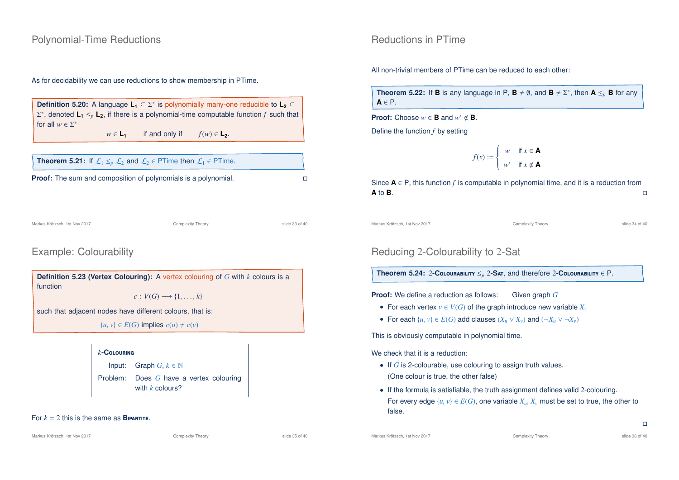#### Polynomial-Time Reductions

#### As for decidability we can use reductions to show membership in PTime.

**Definition 5.20:** A language **L<sup>1</sup>** ⊆ Σ ∗ is polynomially many-one reducible to **L<sup>2</sup>** ⊆ Σ ∗ , denoted **L<sup>1</sup>** ≤*<sup>p</sup>* **L2**, if there is a polynomial-time computable function *f* such that for all  $w \in \Sigma^*$  $w \in L_1$  if and only if  $f(w) \in L_2$ .

| <b>Theorem 5.21:</b> If $\mathcal{L}_1 \leq p \mathcal{L}_2$ and $\mathcal{L}_2 \in \mathsf{PTime}$ then $\mathcal{L}_1 \in \mathsf{PTime}$ . |  |
|-----------------------------------------------------------------------------------------------------------------------------------------------|--|
| <b>Proof:</b> The sum and composition of polynomials is a polynomial.                                                                         |  |

Markus Krötzsch, 1st Nov 2017 Complexity Theory slide 33 of 40

### Example: Colourability

**Definition 5.23 (Vertex Colouring):** A vertex colouring of *G* with *k* colours is a function

 $c: V(G) \longrightarrow \{1, \ldots, k\}$ 

such that adjacent nodes have different colours, that is:

{*u*, *v*} ∈ *E*(*G*) implies  $c(u) ≠ c(v)$ 

#### *k***-C**olouring

Input: Graph  $G, k \in \mathbb{N}$ Problem: Does *G* have a vertex colouring with *k* colours?

#### For  $k = 2$  this is the same as **BIPARTITE.**

Markus Krötzsch, 1st Nov 2017 **Complexity Theory** Complexity Theory slide 35 of 40

Markus Krötzsch, 1st Nov 2017 **Complexity Theory** Complexity Theory slide 36 of 40

### Reductions in PTime

All non-trivial members of PTime can be reduced to each other:

**Theorem 5.22:** If **B** is any language in P,  $\mathbf{B} \neq \emptyset$ , and  $\mathbf{B} \neq \Sigma^*$ , then  $\mathbf{A} \leq_p \mathbf{B}$  for any **A** ∈ P.

**Proof:** Choose  $w \in \mathbf{B}$  and  $w' \notin \mathbf{B}$ .

Define the function *f* by setting

$$
f(x) := \begin{cases} w & \text{if } x \in \mathbf{A} \\ w' & \text{if } x \notin \mathbf{A} \end{cases}
$$

Since **A** ∈ P, this function *f* is computable in polynomial time, and it is a reduction from **A** to **B**.  $\Box$ **A** to **B**.

Markus Krötzsch, 1st Nov 2017 Complexity Theory slide 34 of 40

### Reducing 2-Colourability to 2-Sat

**Theorem 5.24:** 2**-C**olourability ≤*<sup>p</sup>* 2**-S**at, and therefore 2**-C**olourability ∈ P.

**Proof:** We define a reduction as follows: Given graph G

- For each vertex  $v \in V(G)$  of the graph introduce new variable  $X_v$
- For each  $\{u, v\} \in E(G)$  add clauses  $(X_u \vee X_v)$  and  $(\neg X_u \vee \neg X_v)$

This is obviously computable in polynomial time.

We check that it is a reduction:

- If *G* is 2-colourable, use colouring to assign truth values. (One colour is true, the other false)
- If the formula is satisfiable, the truth assignment defines valid 2-colouring. For every edge  $\{u, v\} \in E(G)$ , one variable  $X_u, X_v$  must be set to true, the other to false.